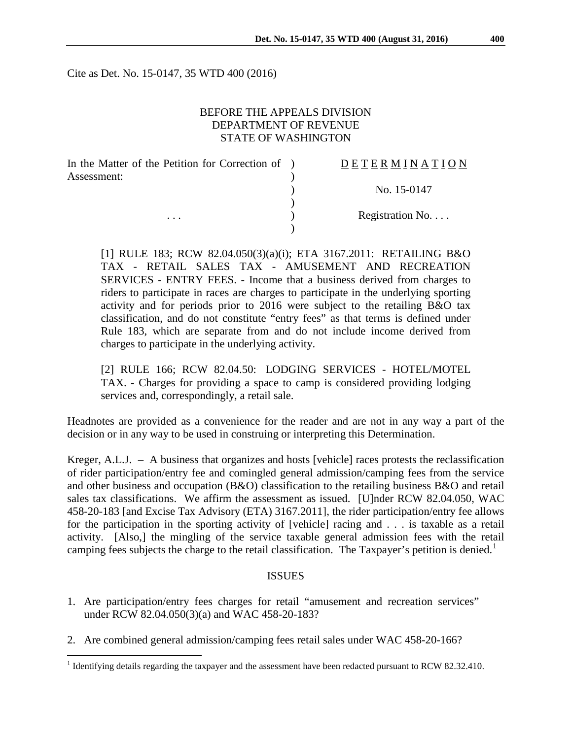Cite as Det. No. 15-0147, 35 WTD 400 (2016)

## BEFORE THE APPEALS DIVISION DEPARTMENT OF REVENUE STATE OF WASHINGTON

| In the Matter of the Petition for Correction of ) | DETERMINATION   |
|---------------------------------------------------|-----------------|
| Assessment:<br>$\cdots$                           |                 |
|                                                   | No. 15-0147     |
|                                                   |                 |
|                                                   | Registration No |
|                                                   |                 |

[1] RULE 183; RCW 82.04.050(3)(a)(i); ETA 3167.2011: RETAILING B&O TAX - RETAIL SALES TAX - AMUSEMENT AND RECREATION SERVICES - ENTRY FEES. - Income that a business derived from charges to riders to participate in races are charges to participate in the underlying sporting activity and for periods prior to 2016 were subject to the retailing B&O tax classification, and do not constitute "entry fees" as that terms is defined under Rule 183, which are separate from and do not include income derived from charges to participate in the underlying activity.

[2] RULE 166; RCW 82.04.50: LODGING SERVICES - HOTEL/MOTEL TAX. - Charges for providing a space to camp is considered providing lodging services and, correspondingly, a retail sale.

Headnotes are provided as a convenience for the reader and are not in any way a part of the decision or in any way to be used in construing or interpreting this Determination.

Kreger, A.L.J. – A business that organizes and hosts [vehicle] races protests the reclassification of rider participation/entry fee and comingled general admission/camping fees from the service and other business and occupation (B&O) classification to the retailing business B&O and retail sales tax classifications. We affirm the assessment as issued. [U]nder RCW 82.04.050, WAC 458-20-183 [and Excise Tax Advisory (ETA) 3167.2011], the rider participation/entry fee allows for the participation in the sporting activity of [vehicle] racing and . . . is taxable as a retail activity. [Also,] the mingling of the service taxable general admission fees with the retail camping fees subjects the charge to the retail classification. The Taxpayer's petition is denied.<sup>[1](#page-0-0)</sup>

#### ISSUES

- 1. Are participation/entry fees charges for retail "amusement and recreation services" under RCW 82.04.050(3)(a) and WAC 458-20-183?
- 2. Are combined general admission/camping fees retail sales under WAC 458-20-166?

<span id="page-0-0"></span><sup>&</sup>lt;sup>1</sup> Identifying details regarding the taxpayer and the assessment have been redacted pursuant to RCW 82.32.410.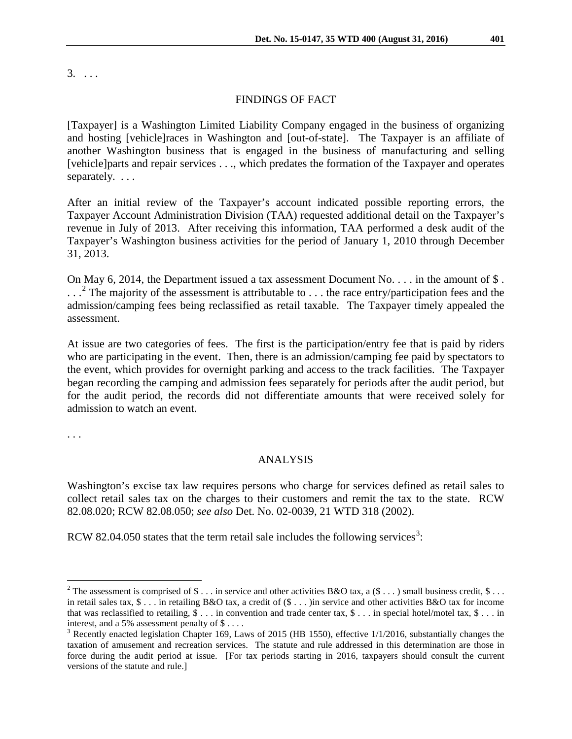$3. \ldots$ 

### FINDINGS OF FACT

[Taxpayer] is a Washington Limited Liability Company engaged in the business of organizing and hosting [vehicle]races in Washington and [out-of-state]. The Taxpayer is an affiliate of another Washington business that is engaged in the business of manufacturing and selling [vehicle]parts and repair services . . ., which predates the formation of the Taxpayer and operates separately. . . .

After an initial review of the Taxpayer's account indicated possible reporting errors, the Taxpayer Account Administration Division (TAA) requested additional detail on the Taxpayer's revenue in July of 2013. After receiving this information, TAA performed a desk audit of the Taxpayer's Washington business activities for the period of January 1, 2010 through December 31, 2013.

On May 6, 2014, the Department issued a tax assessment Document No. . . . in the amount of \$. ...<sup>[2](#page-1-0)</sup> The majority of the assessment is attributable to ... the race entry/participation fees and the admission/camping fees being reclassified as retail taxable. The Taxpayer timely appealed the assessment.

At issue are two categories of fees. The first is the participation/entry fee that is paid by riders who are participating in the event. Then, there is an admission/camping fee paid by spectators to the event, which provides for overnight parking and access to the track facilities. The Taxpayer began recording the camping and admission fees separately for periods after the audit period, but for the audit period, the records did not differentiate amounts that were received solely for admission to watch an event.

. . .

### ANALYSIS

Washington's excise tax law requires persons who charge for services defined as retail sales to collect retail sales tax on the charges to their customers and remit the tax to the state. RCW 82.08.020; RCW 82.08.050; *see also* Det. No. 02-0039, 21 WTD 318 (2002).

RCW 82.04.050 states that the term retail sale includes the following services<sup>[3](#page-1-1)</sup>:

<span id="page-1-0"></span><sup>&</sup>lt;sup>2</sup> The assessment is comprised of \$ . . . in service and other activities B&O tax, a (\$ . . . ) small business credit, \$ . . . in retail sales tax,  $\$\dots$  in retailing B&O tax, a credit of  $(\$\dots)$  in service and other activities B&O tax for income that was reclassified to retailing,  $\$\dots$  in convention and trade center tax,  $\$\dots$  in special hotel/motel tax,  $\$\dots$  in interest, and a 5% assessment penalty of \$ . . . .

<span id="page-1-1"></span><sup>&</sup>lt;sup>3</sup> Recently enacted legislation Chapter 169, Laws of 2015 (HB 1550), effective 1/1/2016, substantially changes the taxation of amusement and recreation services. The statute and rule addressed in this determination are those in force during the audit period at issue. [For tax periods starting in 2016, taxpayers should consult the current versions of the statute and rule.]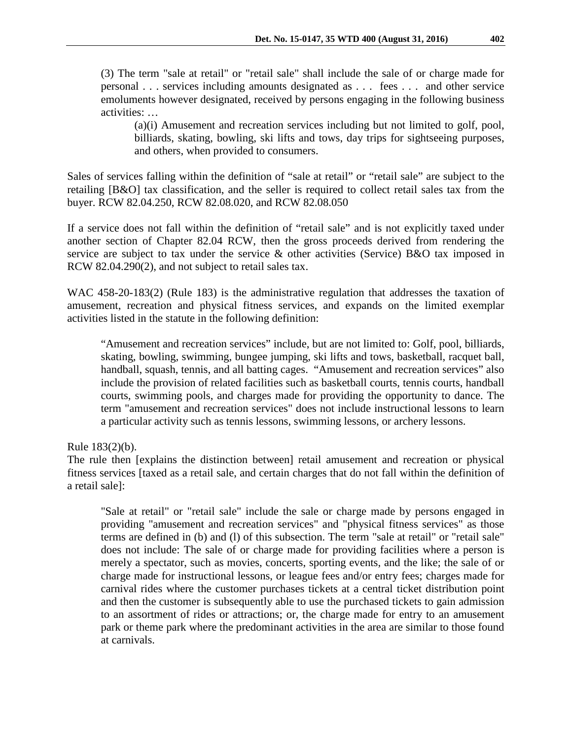(3) The term "sale at retail" or "retail sale" shall include the sale of or charge made for personal . . . services including amounts designated as . . . fees . . . and other service emoluments however designated, received by persons engaging in the following business activities: …

(a)(i) Amusement and recreation services including but not limited to golf, pool, billiards, skating, bowling, ski lifts and tows, day trips for sightseeing purposes, and others, when provided to consumers.

Sales of services falling within the definition of "sale at retail" or "retail sale" are subject to the retailing [B&O] tax classification, and the seller is required to collect retail sales tax from the buyer. RCW 82.04.250, RCW 82.08.020, and RCW 82.08.050

If a service does not fall within the definition of "retail sale" and is not explicitly taxed under another section of Chapter 82.04 RCW, then the gross proceeds derived from rendering the service are subject to tax under the service & other activities (Service) B&O tax imposed in RCW 82.04.290(2), and not subject to retail sales tax.

WAC 458-20-183(2) (Rule 183) is the administrative regulation that addresses the taxation of amusement, recreation and physical fitness services, and expands on the limited exemplar activities listed in the statute in the following definition:

"Amusement and recreation services" include, but are not limited to: Golf, pool, billiards, skating, bowling, swimming, bungee jumping, ski lifts and tows, basketball, racquet ball, handball, squash, tennis, and all batting cages. "Amusement and recreation services" also include the provision of related facilities such as basketball courts, tennis courts, handball courts, swimming pools, and charges made for providing the opportunity to dance. The term "amusement and recreation services" does not include instructional lessons to learn a particular activity such as tennis lessons, swimming lessons, or archery lessons.

Rule 183(2)(b).

The rule then [explains the distinction between] retail amusement and recreation or physical fitness services [taxed as a retail sale, and certain charges that do not fall within the definition of a retail sale]:

"Sale at retail" or "retail sale" include the sale or charge made by persons engaged in providing "amusement and recreation services" and "physical fitness services" as those terms are defined in (b) and (l) of this subsection. The term "sale at retail" or "retail sale" does not include: The sale of or charge made for providing facilities where a person is merely a spectator, such as movies, concerts, sporting events, and the like; the sale of or charge made for instructional lessons, or league fees and/or entry fees; charges made for carnival rides where the customer purchases tickets at a central ticket distribution point and then the customer is subsequently able to use the purchased tickets to gain admission to an assortment of rides or attractions; or, the charge made for entry to an amusement park or theme park where the predominant activities in the area are similar to those found at carnivals.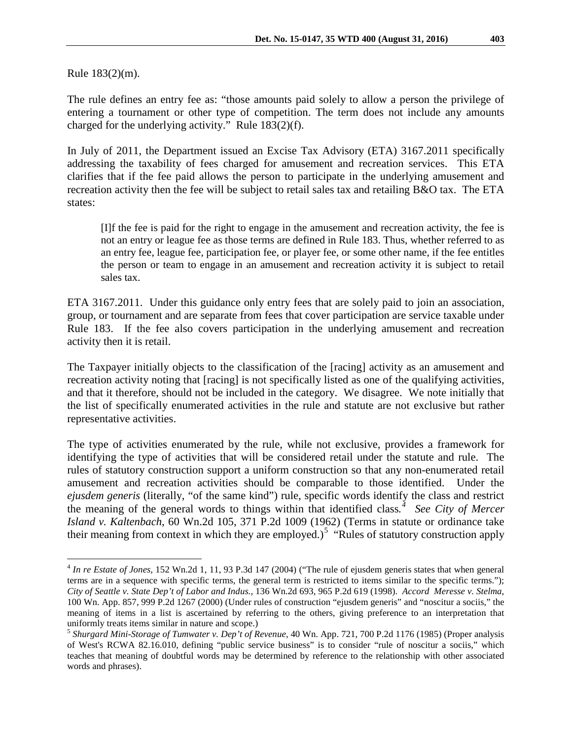Rule 183(2)(m).

The rule defines an entry fee as: "those amounts paid solely to allow a person the privilege of entering a tournament or other type of competition. The term does not include any amounts charged for the underlying activity." Rule 183(2)(f).

In July of 2011, the Department issued an Excise Tax Advisory (ETA) 3167.2011 specifically addressing the taxability of fees charged for amusement and recreation services. This ETA clarifies that if the fee paid allows the person to participate in the underlying amusement and recreation activity then the fee will be subject to retail sales tax and retailing B&O tax. The ETA states:

[I]f the fee is paid for the right to engage in the amusement and recreation activity, the fee is not an entry or league fee as those terms are defined in Rule 183. Thus, whether referred to as an entry fee, league fee, participation fee, or player fee, or some other name, if the fee entitles the person or team to engage in an amusement and recreation activity it is subject to retail sales tax.

ETA 3167.2011. Under this guidance only entry fees that are solely paid to join an association, group, or tournament and are separate from fees that cover participation are service taxable under Rule 183. If the fee also covers participation in the underlying amusement and recreation activity then it is retail.

The Taxpayer initially objects to the classification of the [racing] activity as an amusement and recreation activity noting that [racing] is not specifically listed as one of the qualifying activities, and that it therefore, should not be included in the category. We disagree. We note initially that the list of specifically enumerated activities in the rule and statute are not exclusive but rather representative activities.

The type of activities enumerated by the rule, while not exclusive, provides a framework for identifying the type of activities that will be considered retail under the statute and rule. The rules of statutory construction support a uniform construction so that any non-enumerated retail amusement and recreation activities should be comparable to those identified. Under the *ejusdem generis* (literally, "of the same kind") rule, specific words identify the class and restrict the meaning of the general words to things within that identified class*. [4](#page-3-0) See City of Mercer Island v. Kaltenbach*, 60 Wn.2d 105, 371 P.2d 1009 (1962) (Terms in statute or ordinance take their meaning from context in which they are employed.)<sup>[5](#page-3-1)</sup> "Rules of statutory construction apply

<span id="page-3-0"></span> <sup>4</sup> *In re Estate of Jones*, 152 Wn.2d 1, 11, 93 P.3d 147 (2004) ("The rule of ejusdem generis states that when general terms are in a sequence with specific terms, the general term is restricted to items similar to the specific terms."); *City of Seattle v. State Dep't of Labor and Indus.*, 136 Wn.2d 693, 965 P.2d 619 (1998). *Accord Meresse v. Stelma*, 100 Wn. App. 857, 999 P.2d 1267 (2000) (Under rules of construction "ejusdem generis" and "noscitur a sociis," the meaning of items in a list is ascertained by referring to the others, giving preference to an interpretation that uniformly treats items similar in nature and scope.) <sup>5</sup> *Shurgard Mini-Storage of Tumwater v. Dep't of Revenue*, 40 Wn. App. 721, 700 P.2d 1176 (1985) (Proper analysis

<span id="page-3-1"></span>of West's RCWA 82.16.010, defining "public service business" is to consider "rule of noscitur a sociis," which teaches that meaning of doubtful words may be determined by reference to the relationship with other associated words and phrases).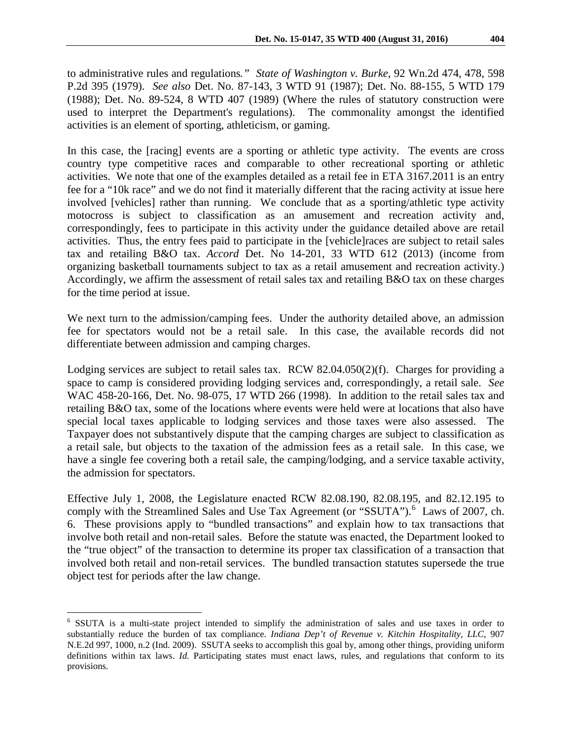to administrative rules and regulations*." State of Washington v. Burke*, 92 Wn.2d 474, 478, 598 P.2d 395 (1979). *See also* Det. No. 87-143, 3 WTD 91 (1987); Det. No. 88-155, 5 WTD 179 (1988); Det. No. 89-524, 8 WTD 407 (1989) (Where the rules of statutory construction were used to interpret the Department's regulations). The commonality amongst the identified activities is an element of sporting, athleticism, or gaming.

In this case, the [racing] events are a sporting or athletic type activity. The events are cross country type competitive races and comparable to other recreational sporting or athletic activities. We note that one of the examples detailed as a retail fee in ETA 3167.2011 is an entry fee for a "10k race" and we do not find it materially different that the racing activity at issue here involved [vehicles] rather than running. We conclude that as a sporting/athletic type activity motocross is subject to classification as an amusement and recreation activity and, correspondingly, fees to participate in this activity under the guidance detailed above are retail activities. Thus, the entry fees paid to participate in the [vehicle]races are subject to retail sales tax and retailing B&O tax. *Accord* Det. No 14-201, 33 WTD 612 (2013) (income from organizing basketball tournaments subject to tax as a retail amusement and recreation activity.) Accordingly, we affirm the assessment of retail sales tax and retailing B&O tax on these charges for the time period at issue.

We next turn to the admission/camping fees. Under the authority detailed above, an admission fee for spectators would not be a retail sale. In this case, the available records did not differentiate between admission and camping charges.

Lodging services are subject to retail sales tax. RCW 82.04.050(2)(f). Charges for providing a space to camp is considered providing lodging services and, correspondingly, a retail sale. *See* WAC 458-20-166, Det. No. 98-075, 17 WTD 266 (1998). In addition to the retail sales tax and retailing B&O tax, some of the locations where events were held were at locations that also have special local taxes applicable to lodging services and those taxes were also assessed. The Taxpayer does not substantively dispute that the camping charges are subject to classification as a retail sale, but objects to the taxation of the admission fees as a retail sale. In this case, we have a single fee covering both a retail sale, the camping/lodging, and a service taxable activity, the admission for spectators.

Effective July 1, 2008, the Legislature enacted RCW 82.08.190, 82.08.195, and 82.12.195 to comply with the Streamlined Sales and Use Tax Agreement (or "SSUTA").<sup>[6](#page-4-0)</sup> Laws of 2007, ch. 6. These provisions apply to "bundled transactions" and explain how to tax transactions that involve both retail and non-retail sales. Before the statute was enacted, the Department looked to the "true object" of the transaction to determine its proper tax classification of a transaction that involved both retail and non-retail services. The bundled transaction statutes supersede the true object test for periods after the law change.

<span id="page-4-0"></span> <sup>6</sup> SSUTA is a multi-state project intended to simplify the administration of sales and use taxes in order to substantially reduce the burden of tax compliance. *Indiana Dep't of Revenue v. Kitchin Hospitality*, *LLC*, 907 N.E.2d 997, 1000, n.2 (Ind. 2009). SSUTA seeks to accomplish this goal by, among other things, providing uniform definitions within tax laws. *Id.* Participating states must enact laws, rules, and regulations that conform to its provisions.